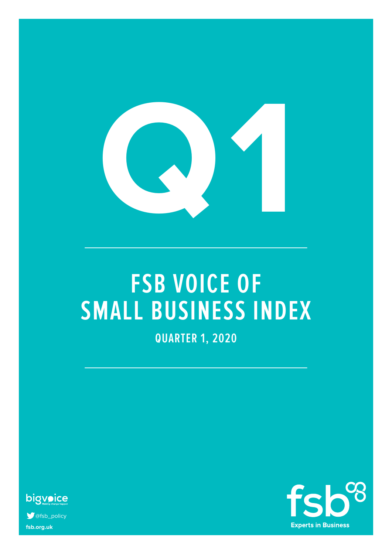

# **FSB VOICE OF SMALL BUSINESS INDEX**

**QUARTER 1, 2020**



**fsb.org.uk S** @fsb\_policy

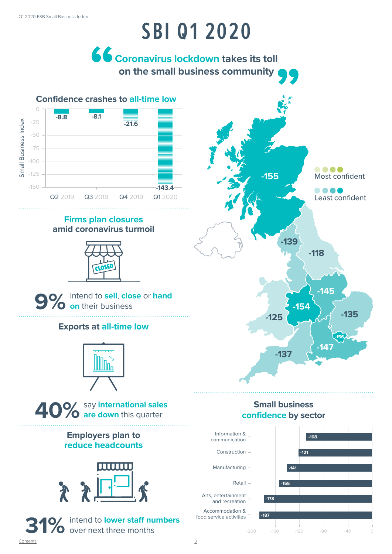## **SBI Q1 2020**

**Coronavirus lockdown takes its toll on the small business community** 



### **Firms plan closures amid coronavirus turmoil**





### **Exports at all-time low**



### say **international sales 40% are down** this quarter

### **Employers plan to reduce headcounts**







### **Small business confidence by sector**

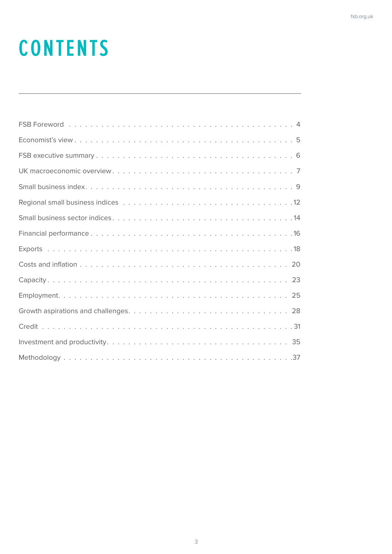# **CONTENTS**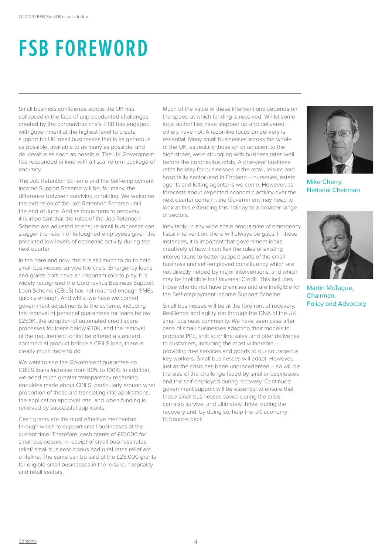# **FSB FOREWORD**

Small business confidence across the UK has collapsed in the face of unprecedented challenges created by the coronavirus crisis. FSB has engaged with government at the highest level to create support for UK small businesses that is as generous as possible, available to as many as possible, and deliverable as soon as possible. The UK Government has responded in kind with a fiscal reform package of enormity.

The Job Retention Scheme and the Self-employment Income Support Scheme will be, for many, the difference between surviving or folding. We welcome the extension of the Job Retention Scheme until the end of June. And as focus turns to recovery, it is important that the rules of the Job Retention Scheme are adjusted to ensure small businesses can stagger the return of furloughed employees given the predicted low levels of economic activity during the next quarter.

In the here and now, there is still much to do to help small businesses survive the crisis. Emergency loans and grants both have an important role to play. It is widely recognised the Coronavirus Business Support Loan Scheme (CBILS) has not reached enough SMEs quickly enough. And whilst we have welcomed government adjustments to the scheme, including the removal of personal guarantees for loans below £250K, the adoption of automated credit score processes for loans below £30K, and the removal of the requirement to first be offered a standard commercial product before a CBILS loan, there is clearly much more to do.

We want to see the Government guarantee on CBILS loans increase from 80% to 100%. In addition, we need much greater transparency regarding enquiries made about CBILS, particularly around what proportion of these are translating into applications, the application approval rate, and when funding is received by successful applicants.

Cash grants are the most effective mechanism through which to support small businesses at the current time. Therefore, cash grants of £10,000 for small businesses in receipt of small business rates relief/ small business bonus and rural rates relief are a lifeline. The same can be said of the £25,000 grants for eligible small businesses in the leisure, hospitality and retail sectors.

Much of the value of these interventions depends on the speed at which funding is received. Whilst some local authorities have stepped up and delivered, others have not. A razor-like focus on delivery is essential. Many small businesses across the whole of the UK, especially those on or adjacent to the high street, were struggling with business rates well before the coronavirus crisis. A one-year business rates holiday for businesses in the retail, leisure and hospitality sector (and in England – nurseries, estate agents and letting agents) is welcome. However, as forecasts about expected economic activity over the next quarter come in, the Government may need to look at this extending this holiday to a broader range of sectors.

Inevitably, in any wide scale programme of emergency fiscal intervention, there will always be gaps. In these instances, it is important that government looks creatively at how it can flex the rules of existing interventions to better support parts of the small business and self-employed constituency which are not directly helped by major interventions, and which may be ineligible for Universal Credit. This includes those who do not have premises and are ineligible for the Self-employment Income Support Scheme.

Small businesses will be at the forefront of recovery. Resilience and agility run through the DNA of the UK small business community. We have seen case after case of small businesses adapting their models to produce PPE, shift to online sales, and offer deliveries to customers, including the most vulnerable – providing free services and goods to our courageous key workers. Small businesses will adapt. However, just as the crisis has been unprecedented – so will be the size of the challenge faced by smaller businesses and the self-employed during recovery. Continued government support will be essential to ensure that those small businesses saved during the crisis can also survive, and ultimately thrive, during the recovery and, by doing so, help the UK economy to bounce back.



Mike Cherry, National Chairman



Martin McTague, Chairman, Policy and Advocacy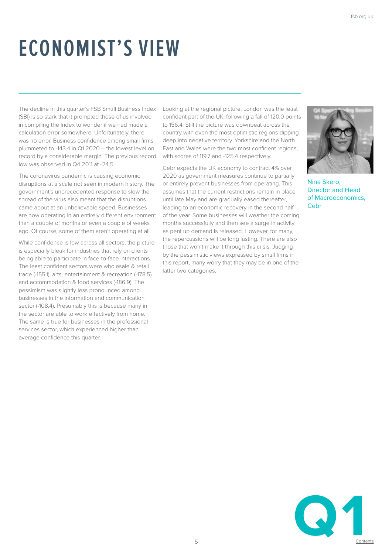# **ECONOMIST'S VIEW**

The decline in this quarter's FSB Small Business Index (SBI) is so stark that it prompted those of us involved in compiling the Index to wonder if we had made a calculation error somewhere. Unfortunately, there was no error. Business confidence among small firms plummeted to -143.4 in Q1 2020 – the lowest level on record by a considerable margin. The previous record low was observed in Q4 2011 at -24.5.

The coronavirus pandemic is causing economic disruptions at a scale not seen in modern history. The government's unprecedented response to slow the spread of the virus also meant that the disruptions came about at an unbelievable speed. Businesses are now operating in an entirely different environment than a couple of months or even a couple of weeks ago. Of course, some of them aren't operating at all.

While confidence is low across all sectors, the picture is especially bleak for industries that rely on clients being able to participate in face-to-face interactions. The least confident sectors were wholesale & retail trade (-155.1), arts, entertainment & recreation (-178.5) and accommodation & food services (-186.9). The pessimism was slightly less pronounced among businesses in the information and communication sector (-108.4). Presumably this is because many in the sector are able to work effectively from home. The same is true for businesses in the professional services sector, which experienced higher than average confidence this quarter.

Looking at the regional picture, London was the least confident part of the UK, following a fall of 120.0 points to 156.4. Still the picture was downbeat across the country with even the most optimistic regions dipping deep into negative territory. Yorkshire and the North East and Wales were the two most confident regions, with scores of 119.7 and -125.4 respectively.

Cebr expects the UK economy to contract 4% over 2020 as government measures continue to partially or entirely prevent businesses from operating. This assumes that the current restrictions remain in place until late May and are gradually eased thereafter, leading to an economic recovery in the second half of the year. Some businesses will weather the coming months successfully and then see a surge in activity as pent up demand is released. However, for many, the repercussions will be long lasting. There are also those that won't make it through this crisis. Judging by the pessimistic views expressed by small firms in this report, many worry that they may be in one of the latter two categories.



Nina Skero, Director and Head of Macroeconomics, Cebr

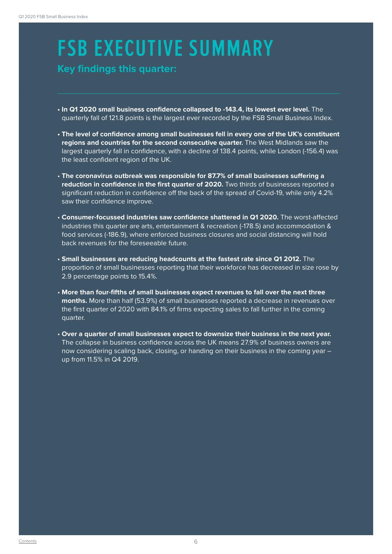# **FSB EXECUTIVE SUMMARY**

### **SMALL BUSINES INDEX**<br> **Key findings this quarter:**<br> **SMALL BUSINESS**

- **In Q1 2020 small business confidence collapsed to -143.4, its lowest ever level.** The quarterly fall of 121.8 points is the largest ever recorded by the FSB Small Business Index.
- **The level of confidence among small businesses fell in every one of the UK's constituent regions and countries for the second consecutive quarter.** The West Midlands saw the largest quarterly fall in confidence, with a decline of 138.4 points, while London (-156.4) was the least confident region of the UK.
- **The coronavirus outbreak was responsible for 87.7% of small businesses suffering a reduction in confidence in the first quarter of 2020.** Two thirds of businesses reported a significant reduction in confidence off the back of the spread of Covid-19, while only 4.2% saw their confidence improve.
- **Consumer-focussed industries saw confidence shattered in Q1 2020.** The worst-affected industries this quarter are arts, entertainment & recreation (-178.5) and accommodation & food services (-186.9), where enforced business closures and social distancing will hold back revenues for the foreseeable future.
- **Small businesses are reducing headcounts at the fastest rate since Q1 2012.** The proportion of small businesses reporting that their workforce has decreased in size rose by 2.9 percentage points to 15.4%.
- **More than four-fifths of small businesses expect revenues to fall over the next three months.** More than half (53.9%) of small businesses reported a decrease in revenues over the first quarter of 2020 with 84.1% of firms expecting sales to fall further in the coming quarter.
- **Over a quarter of small businesses expect to downsize their business in the next year.**  The collapse in business confidence across the UK means 27.9% of business owners are now considering scaling back, closing, or handing on their business in the coming year up from 11.5% in Q4 2019.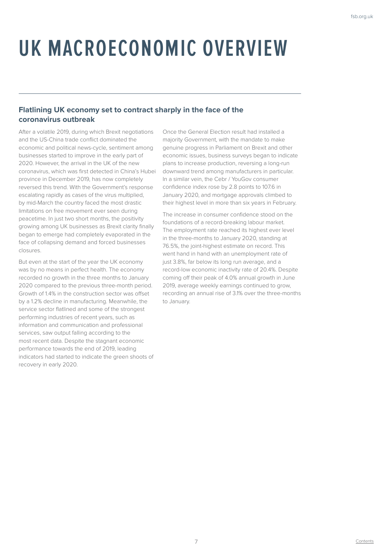# **UK MACROECONOMIC OVERVIEW**

### **Flatlining UK economy set to contract sharply in the face of the coronavirus outbreak**

After a volatile 2019, during which Brexit negotiations and the US-China trade conflict dominated the economic and political news-cycle, sentiment among businesses started to improve in the early part of 2020. However, the arrival in the UK of the new coronavirus, which was first detected in China's Hubei province in December 2019, has now completely reversed this trend. With the Government's response escalating rapidly as cases of the virus multiplied, by mid-March the country faced the most drastic limitations on free movement ever seen during peacetime. In just two short months, the positivity growing among UK businesses as Brexit clarity finally began to emerge had completely evaporated in the face of collapsing demand and forced businesses closures.

But even at the start of the year the UK economy was by no means in perfect health. The economy recorded no growth in the three months to January 2020 compared to the previous three-month period. Growth of 1.4% in the construction sector was offset by a 1.2% decline in manufacturing. Meanwhile, the service sector flatlined and some of the strongest performing industries of recent years, such as information and communication and professional services, saw output falling according to the most recent data. Despite the stagnant economic performance towards the end of 2019, leading indicators had started to indicate the green shoots of recovery in early 2020.

Once the General Election result had installed a majority Government, with the mandate to make genuine progress in Parliament on Brexit and other economic issues, business surveys began to indicate plans to increase production, reversing a long-run downward trend among manufacturers in particular. In a similar vein, the Cebr / YouGov consumer confidence index rose by 2.8 points to 107.6 in January 2020, and mortgage approvals climbed to their highest level in more than six years in February.

The increase in consumer confidence stood on the foundations of a record-breaking labour market. The employment rate reached its highest ever level in the three-months to January 2020, standing at 76.5%, the joint-highest estimate on record. This went hand in hand with an unemployment rate of just 3.8%, far below its long run average, and a record-low economic inactivity rate of 20.4%. Despite coming off their peak of 4.0% annual growth in June 2019, average weekly earnings continued to grow, recording an annual rise of 3.1% over the three-months to January.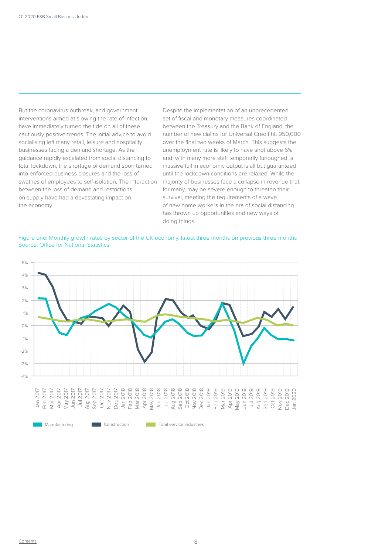But the coronavirus outbreak, and government interventions aimed at slowing the rate of infection, have immediately turned the tide on all of these cautiously positive trends. The initial advice to avoid socialising left many retail, leisure and hospitality businesses facing a demand shortage. As the guidance rapidly escalated from social distancing to total lockdown, the shortage of demand soon turned into enforced business closures and the loss of swathes of employees to self-isolation. The interaction between the loss of demand and restrictions on supply have had a devastating impact on the economy.

Despite the implementation of an unprecedented set of fiscal and monetary measures coordinated between the Treasury and the Bank of England, the number of new claims for Universal Credit hit 950,000 over the final two weeks of March. This suggests the unemployment rate is likely to have shot above 6% and, with many more staff temporarily furloughed, a massive fall in economic output is all but guaranteed until the lockdown conditions are relaxed. While the majority of businesses face a collapse in revenue that, for many, may be severe enough to threaten their survival, meeting the requirements of a wave of new home workers in the era of social distancing has thrown up opportunities and new ways of doing things.

Figure one: Monthly growth rates by sector of the UK economy, latest three months on previous three months Source: Office for National Statistics.

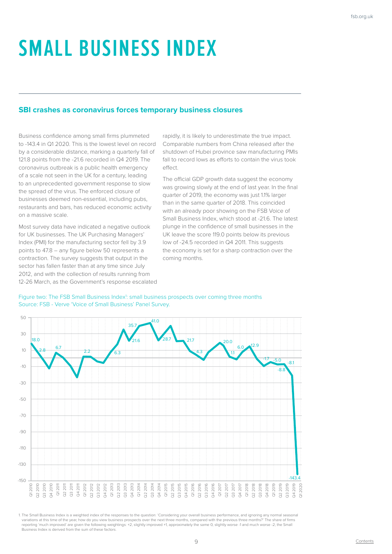# **SMALL BUSINESS INDEX**

### **SBI crashes as coronavirus forces temporary business closures**

Business confidence among small firms plummeted to -143.4 in Q1 2020. This is the lowest level on record by a considerable distance, marking a quarterly fall of 121.8 points from the -21.6 recorded in Q4 2019. The coronavirus outbreak is a public health emergency of a scale not seen in the UK for a century, leading to an unprecedented government response to slow the spread of the virus. The enforced closure of businesses deemed non-essential, including pubs, restaurants and bars, has reduced economic activity on a massive scale.

Most survey data have indicated a negative outlook for UK businesses. The UK Purchasing Managers' Index (PMI) for the manufacturing sector fell by 3.9 points to 47.8 – any figure below 50 represents a contraction. The survey suggests that output in the sector has fallen faster than at any time since July 2012, and with the collection of results running from 12-26 March, as the Government's response escalated

rapidly, it is likely to underestimate the true impact. Comparable numbers from China released after the shutdown of Hubei province saw manufacturing PMIs fall to record lows as efforts to contain the virus took effect.

The official GDP growth data suggest the economy was growing slowly at the end of last year. In the final quarter of 2019, the economy was just 1.1% larger than in the same quarter of 2018. This coincided with an already poor showing on the FSB Voice of Small Business Index, which stood at -21.6. The latest plunge in the confidence of small businesses in the UK leave the score 119.0 points below its previous low of -24.5 recorded in Q4.2011. This suggests the economy is set for a sharp contraction over the coming months.



#### Figure two: The FSB Small Business Index<sup>1</sup>: small business prospects over coming three months Source: FSB - Verve 'Voice of Small Business' Panel Survey.

1. The Small Business Index is a weighted index of the responses to the question: 'Considering your overall business performance, and ignoring any normal seasonal variations at this time of the year, how do you view business prospects over the next three months, compared with the previous three months?' The share of firms<br>reporting 'much improved' are given the following weightings: Business Index is derived from the sum of these factors.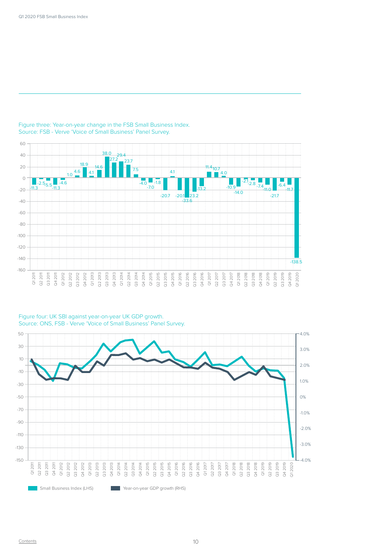

### Figure three: Year-on-year change in the FSB Small Business Index. Source: FSB - Verve 'Voice of Small Business' Panel Survey.

### Figure four: UK SBI against year-on-year UK GDP growth. Source: ONS, FSB - Verve 'Voice of Small Business' Panel Survey.

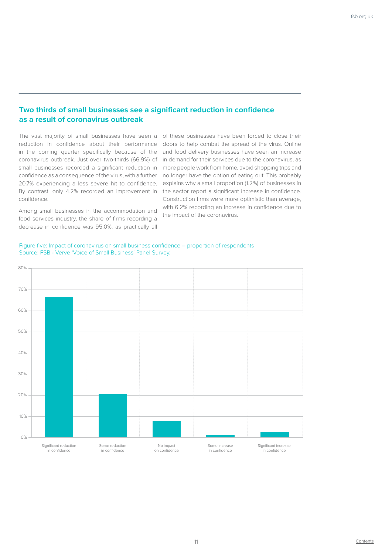### **Two thirds of small businesses see a significant reduction in confidence as a result of coronavirus outbreak**

reduction in confidence about their performance in the coming quarter specifically because of the coronavirus outbreak. Just over two-thirds (66.9%) of small businesses recorded a significant reduction in confidence as a consequence of the virus, with a further 20.7% experiencing a less severe hit to confidence. By contrast, only 4.2% recorded an improvement in confidence.

Among small businesses in the accommodation and food services industry, the share of firms recording a decrease in confidence was 95.0%, as practically all

The vast majority of small businesses have seen a of these businesses have been forced to close their doors to help combat the spread of the virus. Online and food delivery businesses have seen an increase in demand for their services due to the coronavirus, as more people work from home, avoid shopping trips and no longer have the option of eating out. This probably explains why a small proportion (1.2%) of businesses in the sector report a significant increase in confidence. Construction firms were more optimistic than average, with 6.2% recording an increase in confidence due to the impact of the coronavirus.



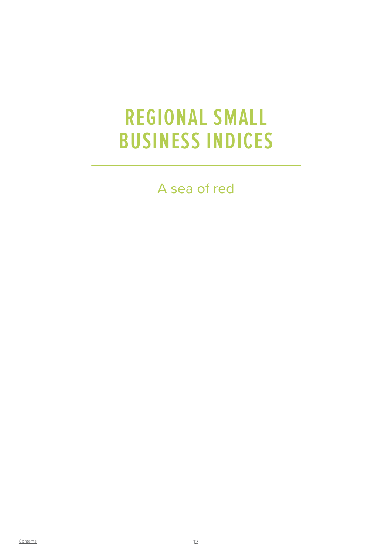### **REGIONAL SMALL BUSINESS INDICES**

A sea of red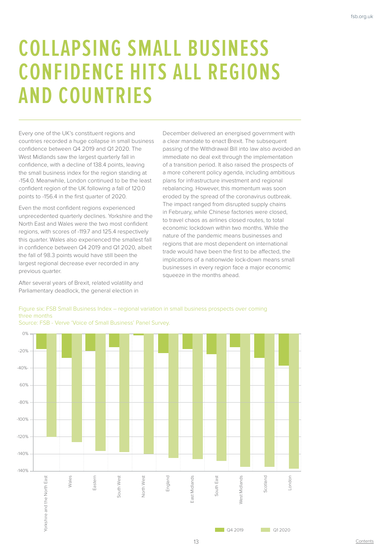## **COLLAPSING SMALL BUSINESS CONFIDENCE HITS ALL REGIONS AND COUNTRIES**

Every one of the UK's constituent regions and countries recorded a huge collapse in small business confidence between Q4 2019 and Q1 2020. The West Midlands saw the largest quarterly fall in confidence, with a decline of 138.4 points, leaving the small business index for the region standing at -154.0. Meanwhile, London continued to be the least confident region of the UK following a fall of 120.0 points to -156.4 in the first quarter of 2020.

Even the most confident regions experienced unprecedented quarterly declines. Yorkshire and the North East and Wales were the two most confident regions, with scores of -119.7 and 125.4 respectively this quarter. Wales also experienced the smallest fall in confidence between Q4 2019 and Q1 2020, albeit the fall of 98.3 points would have still been the largest regional decrease ever recorded in any previous quarter.

After several years of Brexit, related volatility and Parliamentary deadlock, the general election in

December delivered an energised government with a clear mandate to enact Brexit. The subsequent passing of the Withdrawal Bill into law also avoided an immediate no deal exit through the implementation of a transition period. It also raised the prospects of a more coherent policy agenda, including ambitious plans for infrastructure investment and regional rebalancing. However, this momentum was soon eroded by the spread of the coronavirus outbreak. The impact ranged from disrupted supply chains in February, while Chinese factories were closed, to travel chaos as airlines closed routes, to total economic lockdown within two months. While the nature of the pandemic means businesses and regions that are most dependent on international trade would have been the first to be affected, the implications of a nationwide lock-down means small businesses in every region face a major economic squeeze in the months ahead.

### Figure six: FSB Small Business Index – regional variation in small business prospects over coming three months

0% -20% -40%- 60%  $\circ$ 0% -100% -120% -140% -140% Wales East Eastern Yorkshire and the North East south West South West **Jorth West** North West England East Midlands East South East West Midlands Scotland London East Midlands West Midlands orkshire and the North South I

Source: FSB - Verve 'Voice of Small Business' Panel Survey.

 $\Box$  04.2019  $\Box$  01.2020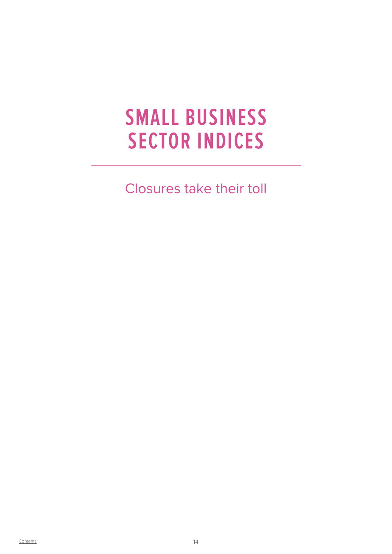### **SMALL BUSINESS SECTOR INDICES**

Closures take their toll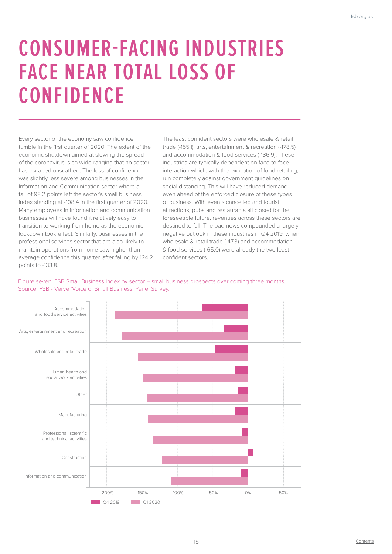## **CONSUMER-FACING INDUSTRIES FACE NEAR TOTAL LOSS OF CONFIDENCE**

Every sector of the economy saw confidence tumble in the first quarter of 2020. The extent of the economic shutdown aimed at slowing the spread of the coronavirus is so wide-ranging that no sector has escaped unscathed. The loss of confidence was slightly less severe among businesses in the Information and Communication sector where a fall of 98.2 points left the sector's small business index standing at -108.4 in the first quarter of 2020. Many employees in information and communication businesses will have found it relatively easy to transition to working from home as the economic lockdown took effect. Similarly, businesses in the professional services sector that are also likely to maintain operations from home saw higher than average confidence this quarter, after falling by 124.2 points to -133.8.

The least confident sectors were wholesale & retail trade (-155.1), arts, entertainment & recreation (-178.5) and accommodation & food services (-186.9). These industries are typically dependent on face-to-face interaction which, with the exception of food retailing, run completely against government guidelines on social distancing. This will have reduced demand even ahead of the enforced closure of these types of business. With events cancelled and tourist attractions, pubs and restaurants all closed for the foreseeable future, revenues across these sectors are destined to fall. The bad news compounded a largely negative outlook in these industries in Q4 2019, when wholesale & retail trade (-47.3) and accommodation & food services (-65.0) were already the two least confident sectors.



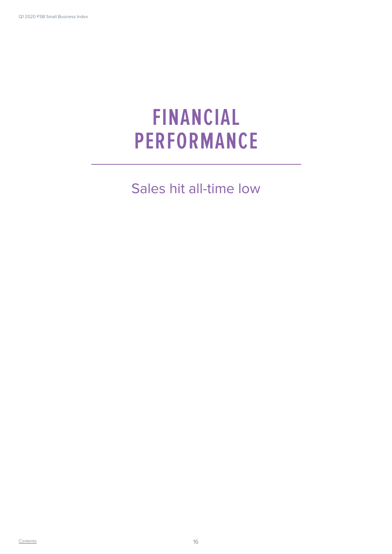## **FINANCIAL PERFORMANCE**

Sales hit all-time low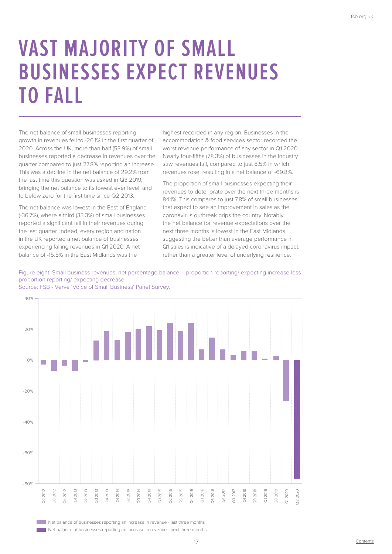## **VAST MAJORITY OF SMALL BUSINESSES EXPECT REVENUES TO FALL**

The net balance of small businesses reporting growth in revenues fell to -26.1% in the first quarter of 2020. Across the UK, more than half (53.9%) of small businesses reported a decrease in revenues over the quarter compared to just 27.8% reporting an increase. This was a decline in the net balance of 29.2% from the last time this question was asked in Q3 2019, bringing the net balance to its lowest ever level, and to below zero for the first time since Q2 2013.

The net balance was lowest in the East of England (-36.7%), where a third (33.3%) of small businesses reported a significant fall in their revenues during the last quarter. Indeed, every region and nation in the UK reported a net balance of businesses experiencing falling revenues in Q1 2020. A net balance of -15.5% in the East Midlands was the

highest recorded in any region. Businesses in the accommodation & food services sector recorded the worst revenue performance of any sector in Q1 2020. Nearly four-fifths (78.3%) of businesses in the industry saw revenues fall, compared to just 8.5% in which revenues rose, resulting in a net balance of -69.8%.

The proportion of small businesses expecting their revenues to deteriorate over the next three months is 84.1%. This compares to just 7.8% of small businesses that expect to see an improvement in sales as the coronavirus outbreak grips the country. Notably the net balance for revenue expectations over the next three months is lowest in the East Midlands, suggesting the better than average performance in Q1 sales is indicative of a delayed coronavirus impact, rather than a greater level of underlying resilience.

### Figure eight: Small business revenues, net percentage balance – proportion reporting/ expecting increase less proportion reporting/ expecting decrease.





Net balance of businesses reporting an increase in revenue - last three months **Net balance of businesses reporting an increase in revenue - next three months**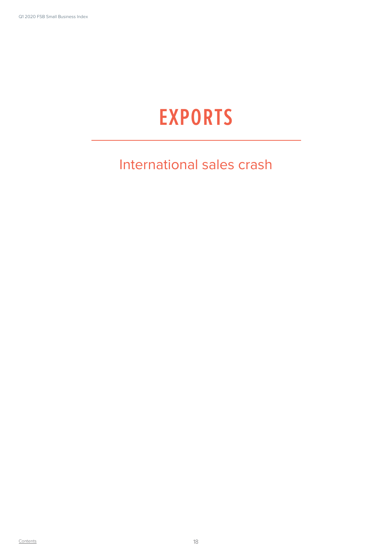## **EXPORTS**

### International sales crash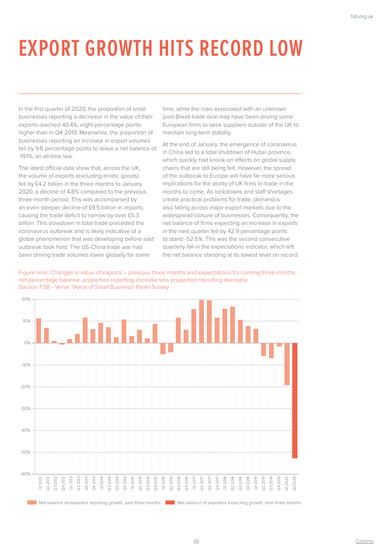# **EXPORT GROWTH HITS RECORD LOW**

In the first quarter of 2020, the proportion of small businesses reporting a decrease in the value of their exports reached 40.4%, eight percentage points higher than in Q4 2019. Meanwhile, the proportion of businesses reporting an increase in export volumes fell by 9.6 percentage points to leave a net balance of -19.1%, an all-time low.

The latest official data show that, across the UK, the volume of exports (excluding erratic goods) fell by £4.2 billion in the three months to January 2020, a decline of 4.8% compared to the previous three-month period. This was accompanied by an even steeper decline of £9.5 billion in imports, causing the trade deficit to narrow by over £5.3 billion. This slowdown in total trade preceded the coronavirus outbreak and is likely indicative of a global phenomenon that was developing before said outbreak took hold. The US-China trade war had been driving trade volumes lower globally for some

time, while the risks associated with an unknown post-Brexit trade deal may have been driving some European firms to seek suppliers outside of the UK to maintain long-term stability.

At the end of January, the emergence of coronavirus in China led to a total shutdown of Hubei province, which quickly had knock-on effects on global supply chains that are still being felt. However, the spread of the outbreak to Europe will have far more serious implications for the ability of UK firms to trade in the months to come. As lockdowns and staff shortages create practical problems for trade, demand is also falling across major export markets due to the widespread closure of businesses. Consequently, the net balance of firms expecting an increase in exports in the next quarter fell by 42.9 percentage points to stand -52.5%. This was the second consecutive quarterly fall in the expectations indicator, which left the net balance standing at its lowest level on record.



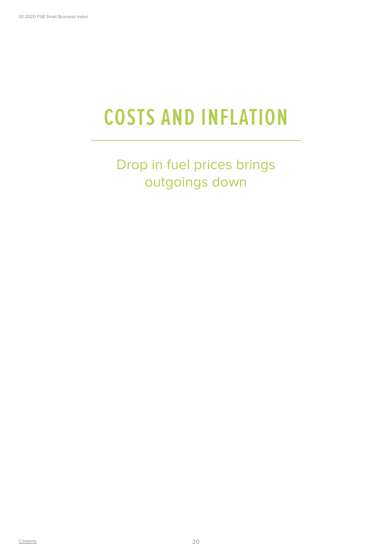# **COSTS AND INFLATION**

Drop in fuel prices brings outgoings down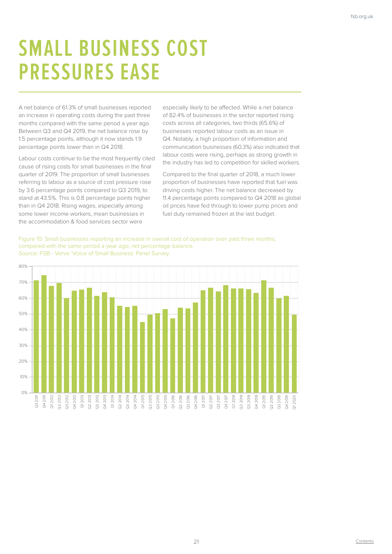## **SMALL BUSINESS COST PRESSURES EASE**

A net balance of 61.3% of small businesses reported an increase in operating costs during the past three months compared with the same period a year ago. Between Q3 and Q4 2019, the net balance rose by 1.5 percentage points, although it now stands 1.9 percentage points lower than in Q4 2018.

Labour costs continue to be the most frequently cited cause of rising costs for small businesses in the final quarter of 2019. The proportion of small businesses referring to labour as a source of cost pressure rose by 3.6 percentage points compared to Q3 2019, to stand at 43.5%. This is 0.8 percentage points higher than in Q4 2018. Rising wages, especially among some lower income workers, mean businesses in the accommodation & food services sector were

especially likely to be affected. While a net balance of 82.4% of businesses in the sector reported rising costs across all categories, two thirds (65.6%) of businesses reported labour costs as an issue in Q4. Notably, a high proportion of information and communication businesses (60.3%) also indicated that labour costs were rising, perhaps as strong growth in the industry has led to competition for skilled workers.

Compared to the final quarter of 2018, a much lower proportion of businesses have reported that fuel was driving costs higher. The net balance decreased by 11.4 percentage points compared to Q4 2018 as global oil prices have fed through to lower pump prices and fuel duty remained frozen at the last budget.

Figure 10: Small businesses reporting an increase in overall cost of operation over past three months, compared with the same period a year ago; net percentage balance. Source: FSB - Verve 'Voice of Small Business' Panel Survey.

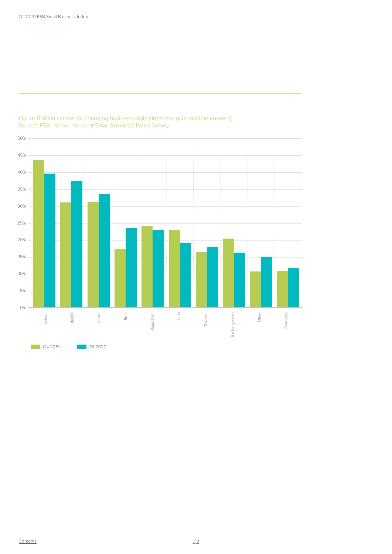

### Figure 11: Main causes for changing business costs (firms may give multiple answers). Source: FSB - Verve 'Voice of Small Business' Panel Survey.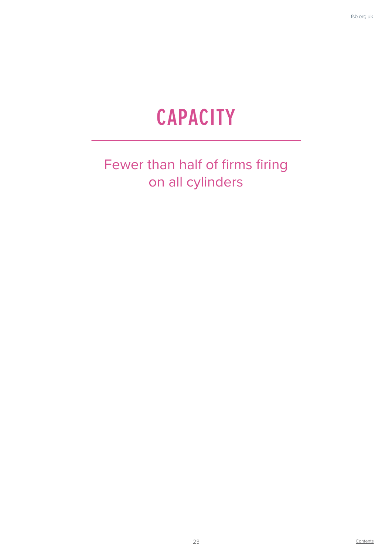## **CAPACITY**

### Fewer than half of firms firing on all cylinders

**Contents**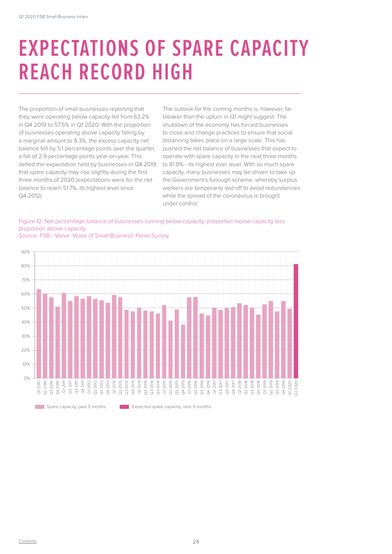## **EXPECTATIONS OF SPARE CAPACITY REACH RECORD HIGH**

The proportion of small businesses reporting that they were operating below capacity fell from 63.2% in Q4 2019 to 57.5% in Q1 2020. With the proportion of businesses operating above capacity falling by a marginal amount to 8.3%, the excess capacity net balance fell by 5.1 percentage points over the quarter, a fall of 2.9 percentage points year-on-year. This defied the expectation held by businesses in Q4 2019 that spare capacity may rise slightly during the first three months of 2020 (expectations were for the net balance to reach 51.7%, its highest level since Q4 2012).

The outlook for the coming months is, however, far bleaker than the upturn in Q1 might suggest. The shutdown of the economy has forced businesses to close and change practices to ensure that social distancing takes place on a large scale. This has pushed the net balance of businesses that expect to operate with spare capacity in the next three months to 81.0% - its highest ever level. With so much spare capacity, many businesses may be driven to take up the Government's furlough scheme, whereby surplus workers are temporarily laid off to avoid redundancies while the spread of the coronavirus is brought under control.





Source: FSB - Verve 'Voice of Small Business' Panel Survey.

**Expected** Spare capacity, past 3 months Expected spare capacity, next 3 months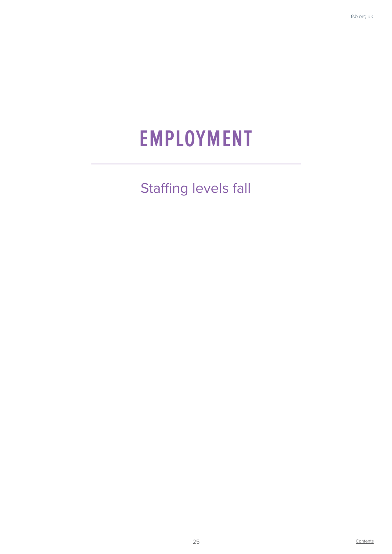### **EMPLOYMENT**

Staffing levels fall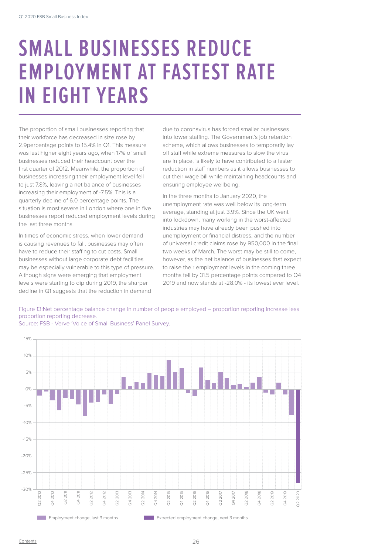### **SMALL BUSINESSES REDUCE EMPLOYMENT AT FASTEST RATE IN EIGHT YEARS**

The proportion of small businesses reporting that their workforce has decreased in size rose by 2.9percentage points to 15.4% in Q1. This measure was last higher eight years ago, when 17% of small businesses reduced their headcount over the first quarter of 2012. Meanwhile, the proportion of businesses increasing their employment level fell to just 7.8%, leaving a net balance of businesses increasing their employment of -7.5%. This is a quarterly decline of 6.0 percentage points. The situation is most severe in London where one in five businesses report reduced employment levels during the last three months.

In times of economic stress, when lower demand is causing revenues to fall, businesses may often have to reduce their staffing to cut costs. Small businesses without large corporate debt facilities may be especially vulnerable to this type of pressure. Although signs were emerging that employment levels were starting to dip during 2019, the sharper decline in Q1 suggests that the reduction in demand

due to coronavirus has forced smaller businesses into lower staffing. The Government's job retention scheme, which allows businesses to temporarily lay off staff while extreme measures to slow the virus are in place, is likely to have contributed to a faster reduction in staff numbers as it allows businesses to cut their wage bill while maintaining headcounts and ensuring employee wellbeing.

In the three months to January 2020, the unemployment rate was well below its long-term average, standing at just 3.9%. Since the UK went into lockdown, many working in the worst-affected industries may have already been pushed into unemployment or financial distress, and the number of universal credit claims rose by 950,000 in the final two weeks of March. The worst may be still to come, however, as the net balance of businesses that expect to raise their employment levels in the coming three months fell by 31.5 percentage points compared to Q4 2019 and now stands at -28.0% - its lowest ever level.





Source: FSB - Verve 'Voice of Small Business' Panel Survey.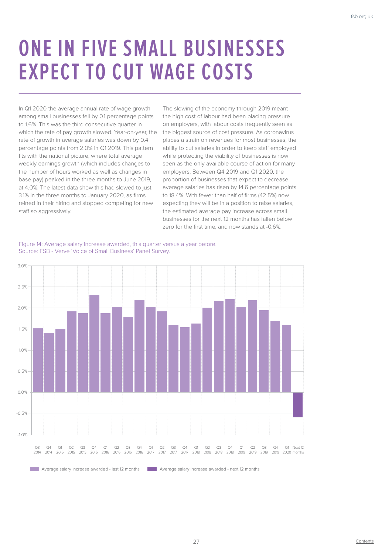## **ONE IN FIVE SMALL BUSINESSES EXPECT TO CUT WAGE COSTS**

In Q1 2020 the average annual rate of wage growth among small businesses fell by 0.1 percentage points to 1.6%. This was the third consecutive quarter in which the rate of pay growth slowed. Year-on-year, the rate of growth in average salaries was down by 0.4 percentage points from 2.0% in Q1 2019. This pattern fits with the national picture, where total average weekly earnings growth (which includes changes to the number of hours worked as well as changes in base pay) peaked in the three months to June 2019, at 4.0%. The latest data show this had slowed to just 3.1% in the three months to January 2020, as firms reined in their hiring and stopped competing for new staff so aggressively.

The slowing of the economy through 2019 meant the high cost of labour had been placing pressure on employers, with labour costs frequently seen as the biggest source of cost pressure. As coronavirus places a strain on revenues for most businesses, the ability to cut salaries in order to keep staff employed while protecting the viability of businesses is now seen as the only available course of action for many employers. Between Q4 2019 and Q1 2020, the proportion of businesses that expect to decrease average salaries has risen by 14.6 percentage points to 18.4%. With fewer than half of firms (42.5%) now expecting they will be in a position to raise salaries, the estimated average pay increase across small businesses for the next 12 months has fallen below zero for the first time, and now stands at -0.6%.

Figure 14: Average salary increase awarded, this quarter versus a year before. Source: FSB - Verve 'Voice of Small Business' Panel Survey.

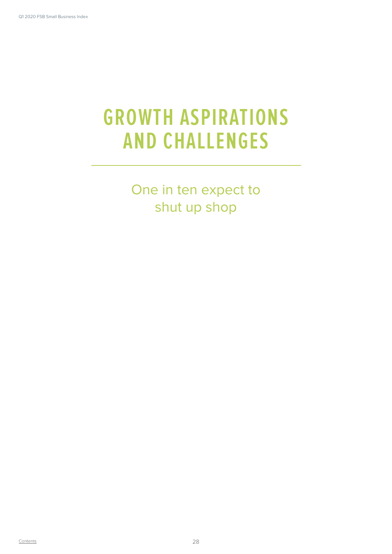## **GROWTH ASPIRATIONS AND CHALLENGES**

One in ten expect to shut up shop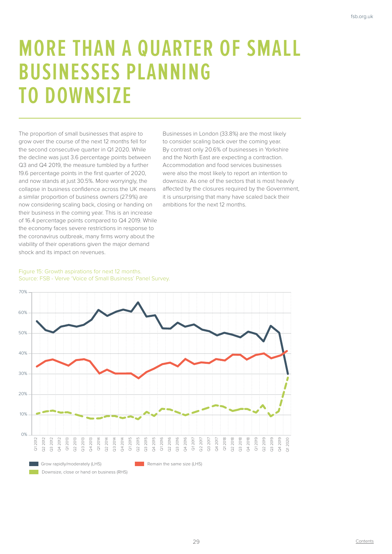### **MORE THAN A QUARTER OF SMALL BUSINESSES PLANNING TO DOWNSIZE**

The proportion of small businesses that aspire to grow over the course of the next 12 months fell for the second consecutive quarter in Q1 2020. While the decline was just 3.6 percentage points between Q3 and Q4 2019, the measure tumbled by a further 19.6 percentage points in the first quarter of 2020, and now stands at just 30.5%. More worryingly, the collapse in business confidence across the UK means a similar proportion of business owners (27.9%) are now considering scaling back, closing or handing on their business in the coming year. This is an increase of 16.4 percentage points compared to Q4 2019. While the economy faces severe restrictions in response to the coronavirus outbreak, many firms worry about the viability of their operations given the major demand shock and its impact on revenues.

Businesses in London (33.8%) are the most likely to consider scaling back over the coming year. By contrast only 20.6% of businesses in Yorkshire and the North East are expecting a contraction. Accommodation and food services businesses were also the most likely to report an intention to downsize. As one of the sectors that is most heavily affected by the closures required by the Government, it is unsurprising that many have scaled back their ambitions for the next 12 months.

### Figure 15: Growth aspirations for next 12 months. Source: FSB - Verve 'Voice of Small Business' Panel Survey.

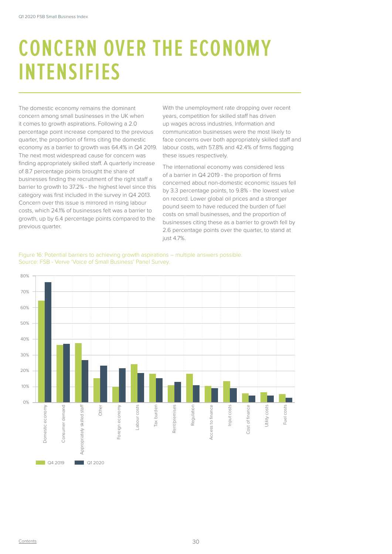## **CONCERN OVER THE ECONOMY INTENSIFIES**

The domestic economy remains the dominant concern among small businesses in the UK when it comes to growth aspirations. Following a 2.0 percentage point increase compared to the previous quarter, the proportion of firms citing the domestic economy as a barrier to growth was 64.4% in Q4 2019. The next most widespread cause for concern was finding appropriately skilled staff. A quarterly increase of 8.7 percentage points brought the share of businesses finding the recruitment of the right staff a barrier to growth to 37.2% - the highest level since this category was first included in the survey in Q4 2013. Concern over this issue is mirrored in rising labour costs, which 24.1% of businesses felt was a barrier to growth, up by 6.4 percentage points compared to the previous quarter.

With the unemployment rate dropping over recent years, competition for skilled staff has driven up wages across industries. Information and communication businesses were the most likely to face concerns over both appropriately skilled staff and labour costs, with 57.8% and 42.4% of firms flagging these issues respectively.

The international economy was considered less of a barrier in Q4 2019 - the proportion of firms concerned about non-domestic economic issues fell by 3.3 percentage points, to 9.8% - the lowest value on record. Lower global oil prices and a stronger pound seem to have reduced the burden of fuel costs on small businesses, and the proportion of businesses citing these as a barrier to growth fell by 2.6 percentage points over the quarter, to stand at just 4.7%.



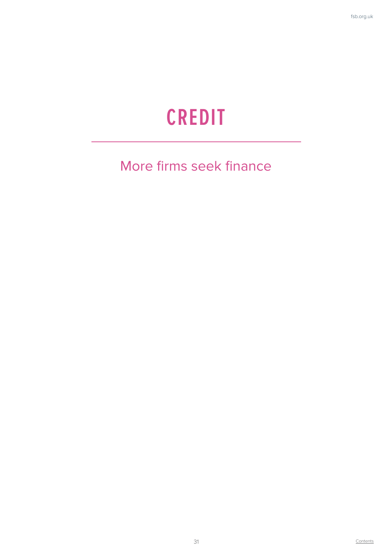## **CREDIT**

### More firms seek finance

**Contents**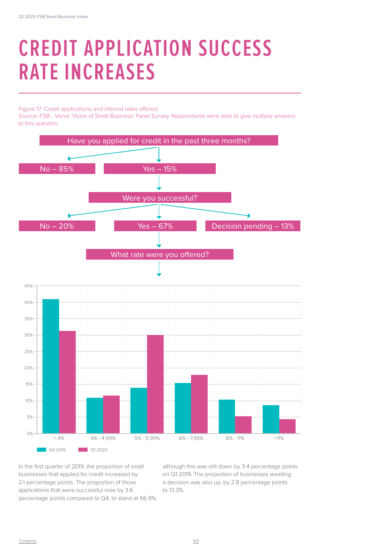## **CREDIT APPLICATION SUCCESS RATE INCREASES**

Figure 17: Credit applications and interest rates offered.

Source: FSB - Verve 'Voice of Small Business' Panel Survey. Respondents were able to give multiple answers to this question.



In the first quarter of 2019, the proportion of small businesses that applied for credit increased by 2.1 percentage points. The proportion of those applications that were successful rose by 3.6 percentage points compared to Q4, to stand at 66.9%, although this was still down by 3.4 percentage points on Q1 2019. The proportion of businesses awaiting a decision was also up, by 2.8 percentage points to 13.3%.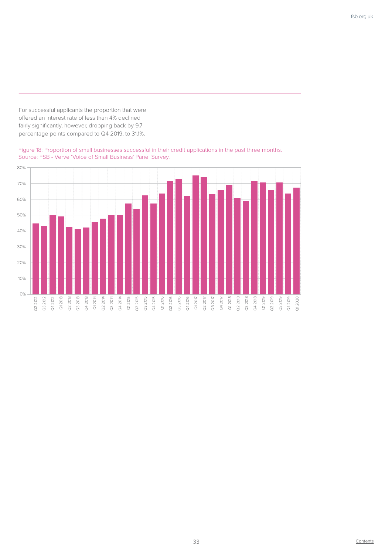For successful applicants the proportion that were offered an interest rate of less than 4% declined fairly significantly, however, dropping back by 9.7 percentage points compared to Q4 2019, to 31.1%.



Figure 18: Proportion of small businesses successful in their credit applications in the past three months. Source: FSB - Verve 'Voice of Small Business' Panel Survey.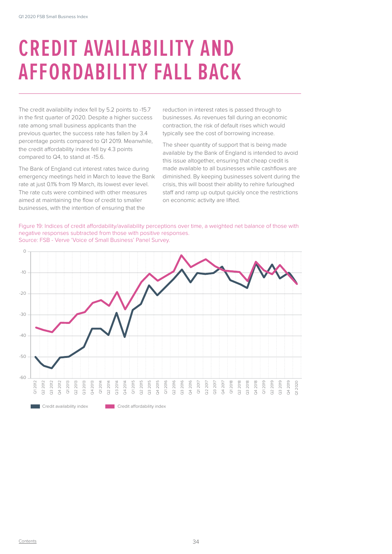## **CREDIT AVAILABILITY AND AFFORDABILITY FALL BACK**

The credit availability index fell by 5.2 points to -15.7 in the first quarter of 2020. Despite a higher success rate among small business applicants than the previous quarter, the success rate has fallen by 3.4 percentage points compared to Q1 2019. Meanwhile, the credit affordability index fell by 4.3 points compared to Q4, to stand at -15.6.

The Bank of England cut interest rates twice during emergency meetings held in March to leave the Bank rate at just 0.1% from 19 March, its lowest ever level. The rate cuts were combined with other measures aimed at maintaining the flow of credit to smaller businesses, with the intention of ensuring that the

reduction in interest rates is passed through to businesses. As revenues fall during an economic contraction, the risk of default rises which would typically see the cost of borrowing increase.

The sheer quantity of support that is being made available by the Bank of England is intended to avoid this issue altogether, ensuring that cheap credit is made available to all businesses while cashflows are diminished. By keeping businesses solvent during the crisis, this will boost their ability to rehire furloughed staff and ramp up output quickly once the restrictions on economic activity are lifted.

Figure 19: Indices of credit affordability/availability perceptions over time, a weighted net balance of those with negative responses subtracted from those with positive responses. Source: FSB - Verve 'Voice of Small Business' Panel Survey.

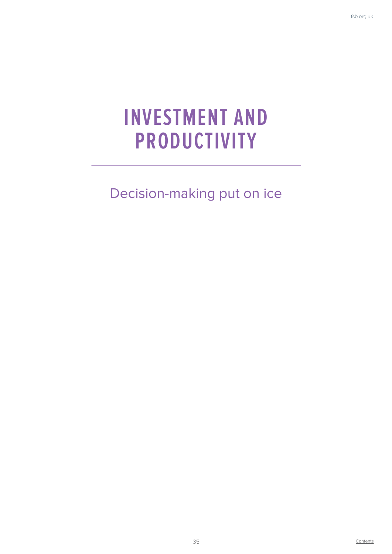## **INVESTMENT AND PRODUCTIVITY**

Decision-making put on ice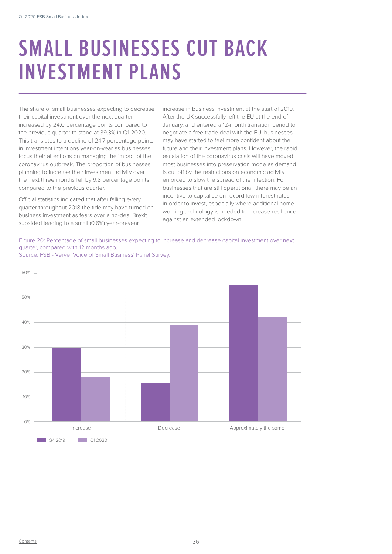## **SMALL BUSINESSES CUT BACK INVESTMENT PLANS**

The share of small businesses expecting to decrease their capital investment over the next quarter increased by 24.0 percentage points compared to the previous quarter to stand at 39.3% in Q1 2020. This translates to a decline of 24.7 percentage points in investment intentions year-on-year as businesses focus their attentions on managing the impact of the coronavirus outbreak. The proportion of businesses planning to increase their investment activity over the next three months fell by 9.8 percentage points compared to the previous quarter.

Official statistics indicated that after falling every quarter throughout 2018 the tide may have turned on business investment as fears over a no-deal Brexit subsided leading to a small (0.6%) year-on-year

increase in business investment at the start of 2019. After the UK successfully left the EU at the end of January, and entered a 12-month transition period to negotiate a free trade deal with the EU, businesses may have started to feel more confident about the future and their investment plans. However, the rapid escalation of the coronavirus crisis will have moved most businesses into preservation mode as demand is cut off by the restrictions on economic activity enforced to slow the spread of the infection. For businesses that are still operational, there may be an incentive to capitalise on record low interest rates in order to invest, especially where additional home working technology is needed to increase resilience against an extended lockdown.

Figure 20: Percentage of small businesses expecting to increase and decrease capital investment over next quarter, compared with 12 months ago.



Source: FSB - Verve 'Voice of Small Business' Panel Survey.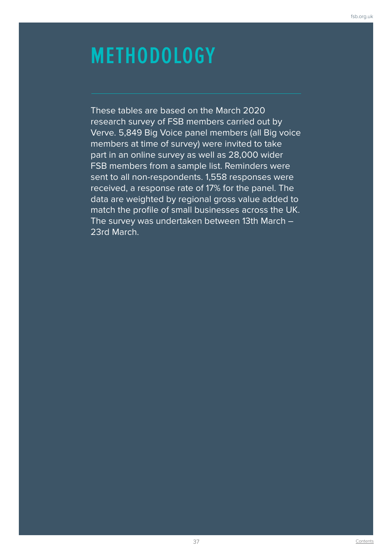## **METHODOLOGY**

These tables are based on the March 2020 research survey of FSB members carried out by Verve. 5,849 Big Voice panel members (all Big voice members at time of survey) were invited to take part in an online survey as well as 28,000 wider FSB members from a sample list. Reminders were sent to all non-respondents. 1,558 responses were received, a response rate of 17% for the panel. The data are weighted by regional gross value added to match the profile of small businesses across the UK. The survey was undertaken between 13th March – 23rd March.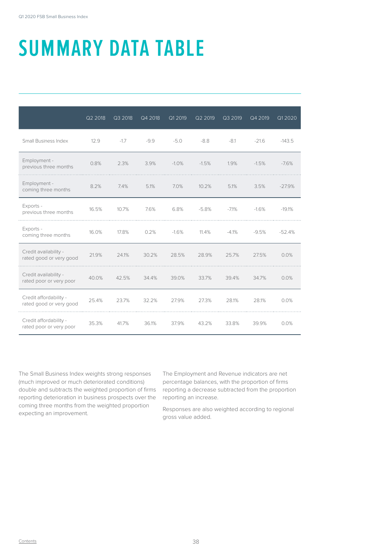# **SUMMARY DATA TABLE**

|                                                   | Q2 2018 | Q3 2018 | Q4 2018 | Q1 2019 | Q2 2019 | Q3 2019 | Q4 2019 | Q1 2020  |
|---------------------------------------------------|---------|---------|---------|---------|---------|---------|---------|----------|
| Small Business Index                              | 12.9    | $-1.7$  | $-9.9$  | $-5.0$  | $-8.8$  | $-8.1$  | $-21.6$ | $-143.5$ |
| Employment -<br>previous three months             | 0.8%    | 2.3%    | 3.9%    | $-1.0%$ | $-1.5%$ | 1.9%    | $-1.5%$ | $-7.6%$  |
| Employment -<br>coming three months               | 8.2%    | 7.4%    | 5.1%    | 7.0%    | 10.2%   | 5.1%    | 3.5%    | $-27.9%$ |
| Exports -<br>previous three months                | 16.5%   | 10.7%   | 7.6%    | 6.8%    | $-5.8%$ | $-7.1%$ | $-1.6%$ | $-19.1%$ |
| Exports -<br>coming three months                  | 16.0%   | 17.8%   | 0.2%    | $-1.6%$ | 11.4%   | $-4.1%$ | $-9.5%$ | $-52.4%$ |
| Credit availability -<br>rated good or very good  | 21.9%   | 24.1%   | 30.2%   | 28.5%   | 28.9%   | 25.7%   | 27.5%   | 0.0%     |
| Credit availability -<br>rated poor or very poor  | 40.0%   | 42.5%   | 34.4%   | 39.0%   | 33.7%   | 39.4%   | 34.7%   | 0.0%     |
| Credit affordability -<br>rated good or very good | 25.4%   | 23.7%   | 32.2%   | 27.9%   | 27.3%   | 28.1%   | 28.1%   | 0.0%     |
| Credit affordability -<br>rated poor or very poor | 35.3%   | 41.7%   | 36.1%   | 37.9%   | 43.2%   | 33.8%   | 39.9%   | 0.0%     |

The Small Business Index weights strong responses (much improved or much deteriorated conditions) double and subtracts the weighted proportion of firms reporting deterioration in business prospects over the coming three months from the weighted proportion expecting an improvement.

The Employment and Revenue indicators are net percentage balances, with the proportion of firms reporting a decrease subtracted from the proportion reporting an increase.

Responses are also weighted according to regional gross value added.